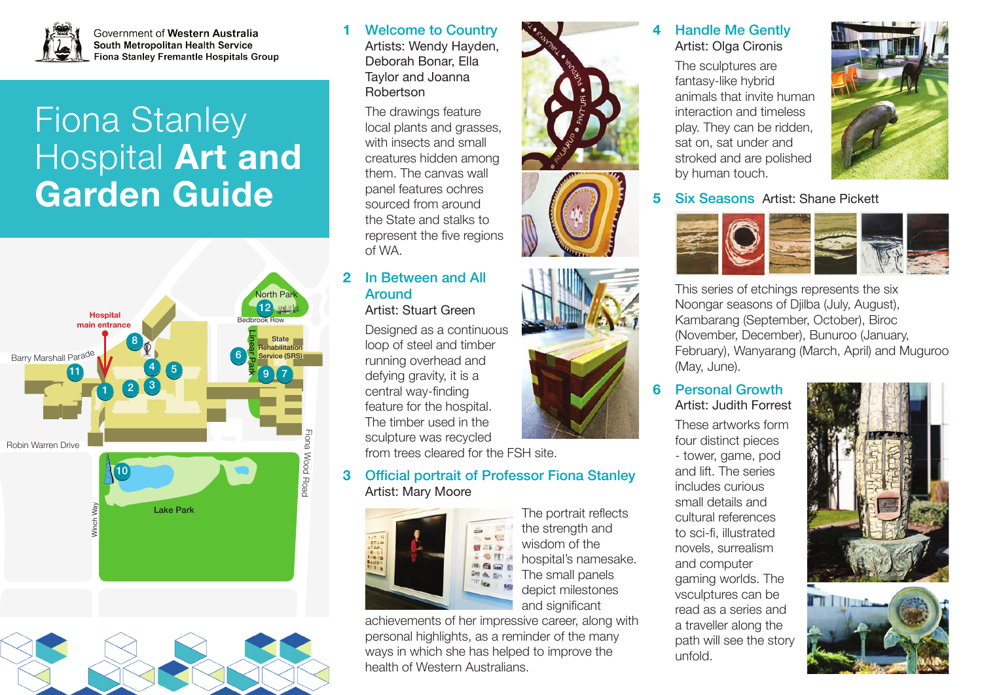

Government of Western Australia South Metropolitan Health Service Fiona Stanley Fremantle Hospitals Group

# Fiona Stanley Hospital **Art and Garden Guide**





Welcome to Country Artists: Wendy Hayden, Deborah Bonar, Ella Taylor and Joanna Robertson

**1**

The drawings feature local plants and grasses, with insects and small creatures hidden among them. The canvas wall panel features ochres sourced from around the State and stalks to represent the five regions of WA.

#### In Between and All Around Artist: Stuart Green **2**

Designed as a continuous loop of steel and timber running overhead and defying gravity, it is a central way-finding feature for the hospital. The timber used in the sculpture was recycled

from trees cleared for the FSH site.

#### Official portrait of Professor Fiona Stanley Artist: Mary Moore **3**



The portrait reflects the strength and wisdom of the hospital's namesake. The small panels depict milestones and significant

achievements of her impressive career, along with personal highlights, as a reminder of the many ways in which she has helped to improve the health of Western Australians.



#### Handle Me Gently Artist: Olga Cironis **4**

The sculptures are fantasy-like hybrid animals that invite human interaction and timeless play. They can be ridden, sat on, sat under and stroked and are polished by human touch.



## **5** Six Seasons Artist: Shane Pickett



This series of etchings represents the six Noongar seasons of Djilba (July, August), Kambarang (September, October), Biroc (November, December), Bunuroo (January, February), Wanyarang (March, April) and Muguroo (May, June).

#### Personal Growth Artist: Judith Forrest **6**

These artworks form four distinct pieces - tower, game, pod and lift. The series includes curious small details and cultural references to sci-fi, illustrated novels, surrealism and computer gaming worlds. The vsculptures can be read as a series and a traveller along the path will see the story unfold.